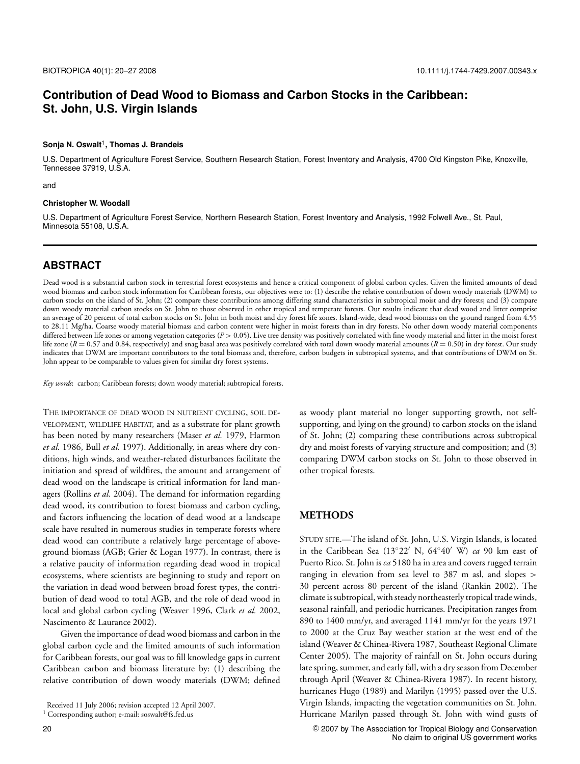# **Contribution of Dead Wood to Biomass and Carbon Stocks in the Caribbean: St. John, U.S. Virgin Islands**

#### **Sonja N. Oswalt**1**, Thomas J. Brandeis**

U.S. Department of Agriculture Forest Service, Southern Research Station, Forest Inventory and Analysis, 4700 Old Kingston Pike, Knoxville, Tennessee 37919, U.S.A.

#### and

#### **Christopher W. Woodall**

U.S. Department of Agriculture Forest Service, Northern Research Station, Forest Inventory and Analysis, 1992 Folwell Ave., St. Paul, Minnesota 55108, U.S.A.

# **ABSTRACT**

Dead wood is a substantial carbon stock in terrestrial forest ecosystems and hence a critical component of global carbon cycles. Given the limited amounts of dead wood biomass and carbon stock information for Caribbean forests, our objectives were to: (1) describe the relative contribution of down woody materials (DWM) to carbon stocks on the island of St. John; (2) compare these contributions among differing stand characteristics in subtropical moist and dry forests; and (3) compare down woody material carbon stocks on St. John to those observed in other tropical and temperate forests. Our results indicate that dead wood and litter comprise an average of 20 percent of total carbon stocks on St. John in both moist and dry forest life zones. Island-wide, dead wood biomass on the ground ranged from 4.55 to 28.11 Mg/ha. Coarse woody material biomass and carbon content were higher in moist forests than in dry forests. No other down woody material components differed between life zones or among vegetation categories ( $P > 0.05$ ). Live tree density was positively correlated with fine woody material and litter in the moist forest life zone  $(R = 0.57$  and 0.84, respectively) and snag basal area was positively correlated with total down woody material amounts  $(R = 0.50)$  in dry forest. Our study indicates that DWM are important contributors to the total biomass and, therefore, carbon budgets in subtropical systems, and that contributions of DWM on St. John appear to be comparable to values given for similar dry forest systems.

*Key words*: carbon; Caribbean forests; down woody material; subtropical forests.

THE IMPORTANCE OF DEAD WOOD IN NUTRIENT CYCLING, SOIL DE-VELOPMENT, WILDLIFE HABITAT, and as a substrate for plant growth has been noted by many researchers (Maser *et al.* 1979, Harmon *et al.* 1986, Bull *et al.* 1997). Additionally, in areas where dry conditions, high winds, and weather-related disturbances facilitate the initiation and spread of wildfires, the amount and arrangement of dead wood on the landscape is critical information for land managers (Rollins *et al.* 2004). The demand for information regarding dead wood, its contribution to forest biomass and carbon cycling, and factors influencing the location of dead wood at a landscape scale have resulted in numerous studies in temperate forests where dead wood can contribute a relatively large percentage of aboveground biomass (AGB; Grier & Logan 1977). In contrast, there is a relative paucity of information regarding dead wood in tropical ecosystems, where scientists are beginning to study and report on the variation in dead wood between broad forest types, the contribution of dead wood to total AGB, and the role of dead wood in local and global carbon cycling (Weaver 1996, Clark *et al.* 2002, Nascimento & Laurance 2002).

Given the importance of dead wood biomass and carbon in the global carbon cycle and the limited amounts of such information for Caribbean forests, our goal was to fill knowledge gaps in current Caribbean carbon and biomass literature by: (1) describing the relative contribution of down woody materials (DWM; defined

as woody plant material no longer supporting growth, not selfsupporting, and lying on the ground) to carbon stocks on the island of St. John; (2) comparing these contributions across subtropical dry and moist forests of varying structure and composition; and (3) comparing DWM carbon stocks on St. John to those observed in other tropical forests.

### **METHODS**

STUDY SITE.—The island of St. John, U.S. Virgin Islands, is located in the Caribbean Sea (13◦22 N, 64◦40 W) *ca* 90 km east of Puerto Rico. St. John is *ca* 5180 ha in area and covers rugged terrain ranging in elevation from sea level to 387 m asl, and slopes > 30 percent across 80 percent of the island (Rankin 2002). The climate is subtropical, with steady northeasterly tropical trade winds, seasonal rainfall, and periodic hurricanes. Precipitation ranges from 890 to 1400 mm/yr, and averaged 1141 mm/yr for the years 1971 to 2000 at the Cruz Bay weather station at the west end of the island (Weaver & Chinea-Rivera 1987, Southeast Regional Climate Center 2005). The majority of rainfall on St. John occurs during late spring, summer, and early fall, with a dry season from December through April (Weaver & Chinea-Rivera 1987). In recent history, hurricanes Hugo (1989) and Marilyn (1995) passed over the U.S. Virgin Islands, impacting the vegetation communities on St. John. Hurricane Marilyn passed through St. John with wind gusts of

Received 11 July 2006; revision accepted 12 April 2007.

<sup>1</sup> Corresponding author; e-mail: soswalt@fs.fed.us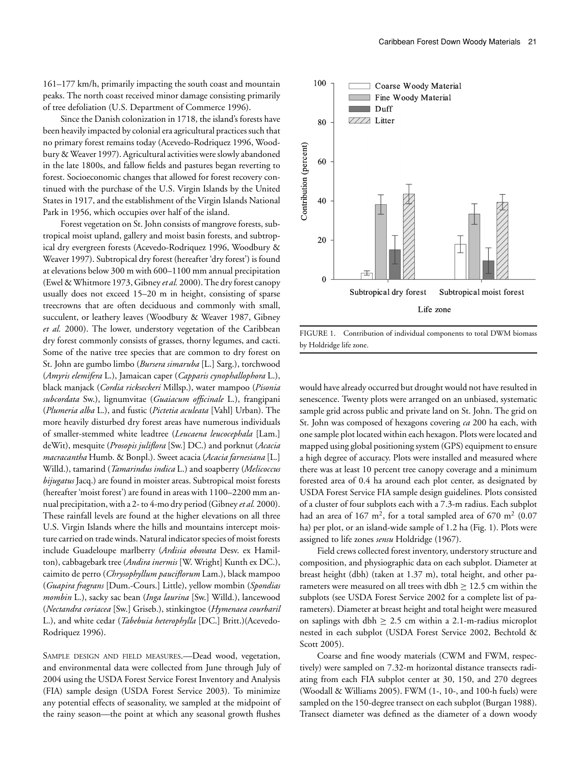161–177 km/h, primarily impacting the south coast and mountain peaks. The north coast received minor damage consisting primarily of tree defoliation (U.S. Department of Commerce 1996).

Since the Danish colonization in 1718, the island's forests have been heavily impacted by colonial era agricultural practices such that no primary forest remains today (Acevedo-Rodriquez 1996, Woodbury & Weaver 1997). Agricultural activities were slowly abandoned in the late 1800s, and fallow fields and pastures began reverting to forest. Socioeconomic changes that allowed for forest recovery continued with the purchase of the U.S. Virgin Islands by the United States in 1917, and the establishment of the Virgin Islands National Park in 1956, which occupies over half of the island.

Forest vegetation on St. John consists of mangrove forests, subtropical moist upland, gallery and moist basin forests, and subtropical dry evergreen forests (Acevedo-Rodriquez 1996, Woodbury & Weaver 1997). Subtropical dry forest (hereafter 'dry forest') is found at elevations below 300 m with 600–1100 mm annual precipitation (Ewel & Whitmore 1973, Gibney *et al.* 2000). The dry forest canopy usually does not exceed 15–20 m in height, consisting of sparse treecrowns that are often deciduous and commonly with small, succulent, or leathery leaves (Woodbury & Weaver 1987, Gibney *et al.* 2000). The lower, understory vegetation of the Caribbean dry forest commonly consists of grasses, thorny legumes, and cacti. Some of the native tree species that are common to dry forest on St. John are gumbo limbo (*Bursera simaruba* [L.] Sarg.), torchwood (*Amyris elemifera* L.), Jamaican caper (*Capparis cynophallophora* L.), black manjack (*Cordia rickseckeri* Millsp.), water mampoo (*Pisonia subcordata* Sw.), lignumvitae (*Guaiacum officinale* L.), frangipani (*Plumeria alba* L.), and fustic (*Pictetia aculeata* [Vahl] Urban). The more heavily disturbed dry forest areas have numerous individuals of smaller-stemmed white leadtree (*Leucaena leucocephala* [Lam.] deWit), mesquite (*Prosopis juliflora* [Sw.] DC.) and porknut (*Acacia macracantha* Humb. & Bonpl.). Sweet acacia (*Acacia farnesiana* [L.] Willd.), tamarind (*Tamarindus indica* L.) and soapberry (*Melicoccus bijugatus* Jacq.) are found in moister areas. Subtropical moist forests (hereafter 'moist forest') are found in areas with 1100–2200 mm annual precipitation, with a 2- to 4-mo dry period (Gibney *et al.* 2000). These rainfall levels are found at the higher elevations on all three U.S. Virgin Islands where the hills and mountains intercept moisture carried on trade winds. Natural indicator species of moist forests include Guadeloupe marlberry (*Ardisia obovata* Desv. ex Hamilton), cabbagebark tree (*Andira inermis* [W. Wright] Kunth ex DC.), caimito de perro (*Chrysophyllum pauciflorum* Lam.), black mampoo (*Guapira fragrans* [Dum.-Cours.] Little), yellow mombin (*Spondias mombin* L.), sacky sac bean (*Inga laurina* [Sw.] Willd.), lancewood (*Nectandra coriacea* [Sw.] Griseb.), stinkingtoe (*Hymenaea courbaril* L.), and white cedar (*Tabebuia heterophylla* [DC.] Britt.)(Acevedo-Rodriquez 1996).

SAMPLE DESIGN AND FIELD MEASURES.—Dead wood, vegetation, and environmental data were collected from June through July of 2004 using the USDA Forest Service Forest Inventory and Analysis (FIA) sample design (USDA Forest Service 2003). To minimize any potential effects of seasonality, we sampled at the midpoint of the rainy season—the point at which any seasonal growth flushes



FIGURE 1. Contribution of individual components to total DWM biomass by Holdridge life zone.

would have already occurred but drought would not have resulted in senescence. Twenty plots were arranged on an unbiased, systematic sample grid across public and private land on St. John. The grid on St. John was composed of hexagons covering *ca* 200 ha each, with one sample plot located within each hexagon. Plots were located and mapped using global positioning system (GPS) equipment to ensure a high degree of accuracy. Plots were installed and measured where there was at least 10 percent tree canopy coverage and a minimum forested area of 0.4 ha around each plot center, as designated by USDA Forest Service FIA sample design guidelines. Plots consisted of a cluster of four subplots each with a 7.3-m radius. Each subplot had an area of 167 m<sup>2</sup>, for a total sampled area of 670 m<sup>2</sup> (0.07 ha) per plot, or an island-wide sample of 1.2 ha (Fig. 1). Plots were assigned to life zones *sensu* Holdridge (1967).

Field crews collected forest inventory, understory structure and composition, and physiographic data on each subplot. Diameter at breast height (dbh) (taken at 1.37 m), total height, and other parameters were measured on all trees with dbh  $\geq 12.5$  cm within the subplots (see USDA Forest Service 2002 for a complete list of parameters). Diameter at breast height and total height were measured on saplings with dbh  $\geq$  2.5 cm within a 2.1-m-radius microplot nested in each subplot (USDA Forest Service 2002, Bechtold & Scott 2005).

Coarse and fine woody materials (CWM and FWM, respectively) were sampled on 7.32-m horizontal distance transects radiating from each FIA subplot center at 30, 150, and 270 degrees (Woodall & Williams 2005). FWM (1-, 10-, and 100-h fuels) were sampled on the 150-degree transect on each subplot (Burgan 1988). Transect diameter was defined as the diameter of a down woody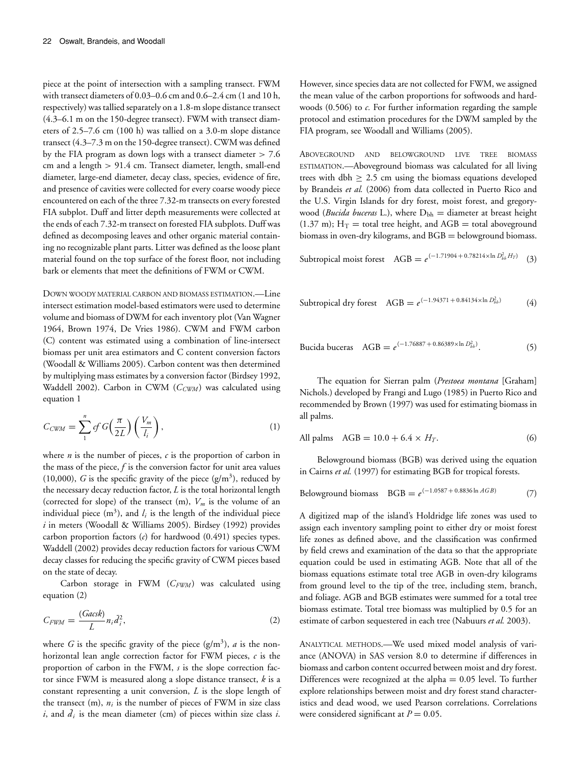piece at the point of intersection with a sampling transect. FWM with transect diameters of 0.03–0.6 cm and 0.6–2.4 cm (1 and 10 h, respectively) was tallied separately on a 1.8-m slope distance transect (4.3–6.1 m on the 150-degree transect). FWM with transect diameters of 2.5–7.6 cm (100 h) was tallied on a 3.0-m slope distance transect (4.3–7.3 m on the 150-degree transect). CWM was defined by the FIA program as down logs with a transect diameter  $> 7.6$ cm and a length > 91.4 cm. Transect diameter, length, small-end diameter, large-end diameter, decay class, species, evidence of fire, and presence of cavities were collected for every coarse woody piece encountered on each of the three 7.32-m transects on every forested FIA subplot. Duff and litter depth measurements were collected at the ends of each 7.32-m transect on forested FIA subplots. Duff was defined as decomposing leaves and other organic material containing no recognizable plant parts. Litter was defined as the loose plant material found on the top surface of the forest floor, not including bark or elements that meet the definitions of FWM or CWM.

DOWN WOODY MATERIAL CARBON AND BIOMASS ESTIMATION.—Line intersect estimation model-based estimators were used to determine volume and biomass of DWM for each inventory plot (Van Wagner 1964, Brown 1974, De Vries 1986). CWM and FWM carbon (C) content was estimated using a combination of line-intersect biomass per unit area estimators and C content conversion factors (Woodall & Williams 2005). Carbon content was then determined by multiplying mass estimates by a conversion factor (Birdsey 1992, Waddell 2002). Carbon in CWM ( $C_{CWM}$ ) was calculated using equation 1

$$
C_{CWM} = \sum_{1}^{n} cf \, G\left(\frac{\pi}{2L}\right) \left(\frac{V_m}{l_i}\right),\tag{1}
$$

where *n* is the number of pieces, *c* is the proportion of carbon in the mass of the piece,  $f$  is the conversion factor for unit area values (10,000), *G* is the specific gravity of the piece  $(g/m^3)$ , reduced by the necessary decay reduction factor, *L* is the total horizontal length (corrected for slope) of the transect (m), *Vm* is the volume of an individual piece  $(m^3)$ , and  $l_i$  is the length of the individual piece *i* in meters (Woodall & Williams 2005). Birdsey (1992) provides carbon proportion factors (*c*) for hardwood (0.491) species types. Waddell (2002) provides decay reduction factors for various CWM decay classes for reducing the specific gravity of CWM pieces based on the state of decay.

Carbon storage in FWM (C<sub>FWM</sub>) was calculated using equation (2)

$$
C_{FWM} = \frac{(Gacsk)}{L} n_i \bar{d}_i^2,\tag{2}
$$

where *G* is the specific gravity of the piece  $(g/m^3)$ , *a* is the nonhorizontal lean angle correction factor for FWM pieces, *c* is the proportion of carbon in the FWM, *s* is the slope correction factor since FWM is measured along a slope distance transect, *k* is a constant representing a unit conversion, *L* is the slope length of the transect  $(m)$ ,  $n_i$  is the number of pieces of FWM in size class  $i$ , and  $\bar{d}_i$  is the mean diameter (cm) of pieces within size class  $i$ .

However, since species data are not collected for FWM, we assigned the mean value of the carbon proportions for softwoods and hardwoods (0.506) to *c.* For further information regarding the sample protocol and estimation procedures for the DWM sampled by the FIA program, see Woodall and Williams (2005).

ABOVEGROUND AND BELOWGROUND LIVE TREE BIOMASS ESTIMATION.—Aboveground biomass was calculated for all living trees with dbh  $\geq 2.5$  cm using the biomass equations developed by Brandeis *et al.* (2006) from data collected in Puerto Rico and the U.S. Virgin Islands for dry forest, moist forest, and gregorywood (*Bucida buceras* L.), where  $D_{bh} =$  diameter at breast height (1.37 m);  $H_T$  = total tree height, and AGB = total aboveground biomass in oven-dry kilograms, and BGB = belowground biomass.

Subtropical moist forest  $AGB = e^{(-1.71904 + 0.78214 \times \ln D_{bb}^2 H_T)}$  (3)

Subtropical dry forest 
$$
AGB = e^{(-1.94371 + 0.84134 \times \ln D_{bb}^2)}
$$
 (4)

Bucida buceras AGB = 
$$
e^{(-1.76887 + 0.86389 \times \ln D_{bb}^2)}
$$
. (5)

The equation for Sierran palm (*Prestoea montana* [Graham] Nichols.) developed by Frangi and Lugo (1985) in Puerto Rico and recommended by Brown (1997) was used for estimating biomass in all palms.

$$
\text{All } \text{palms} \quad \text{AGB} = 10.0 + 6.4 \times H_T. \tag{6}
$$

Belowground biomass (BGB) was derived using the equation in Cairns *et al.* (1997) for estimating BGB for tropical forests.

$$
Below ground \, biomass \quad BGB = e^{(-1.0587 + 0.8836 \ln AGB)} \tag{7}
$$

A digitized map of the island's Holdridge life zones was used to assign each inventory sampling point to either dry or moist forest life zones as defined above, and the classification was confirmed by field crews and examination of the data so that the appropriate equation could be used in estimating AGB. Note that all of the biomass equations estimate total tree AGB in oven-dry kilograms from ground level to the tip of the tree, including stem, branch, and foliage. AGB and BGB estimates were summed for a total tree biomass estimate. Total tree biomass was multiplied by 0.5 for an estimate of carbon sequestered in each tree (Nabuurs *et al.* 2003).

ANALYTICAL METHODS.—We used mixed model analysis of variance (ANOVA) in SAS version 8.0 to determine if differences in biomass and carbon content occurred between moist and dry forest. Differences were recognized at the alpha  $= 0.05$  level. To further explore relationships between moist and dry forest stand characteristics and dead wood, we used Pearson correlations. Correlations were considered significant at  $P = 0.05$ .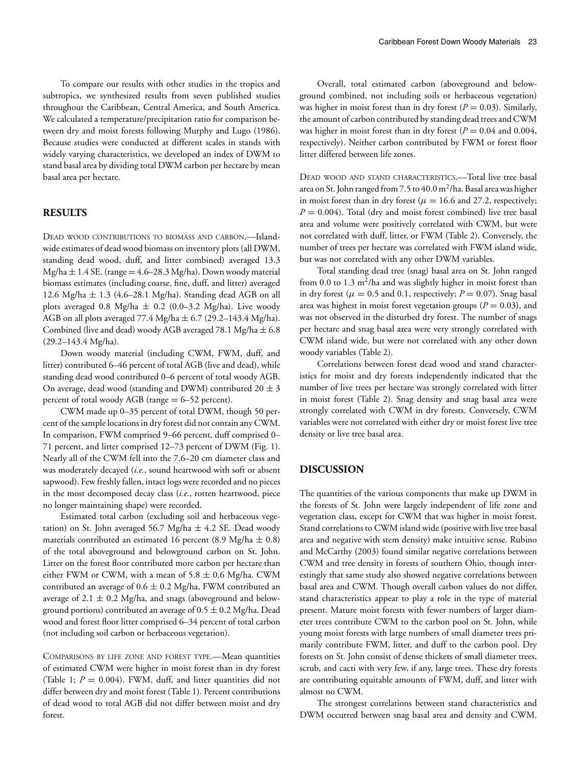To compare our results with other studies in the tropics and subtropics, we synthesized results from seven published studies throughout the Caribbean, Central America, and South America. We calculated a temperature/precipitation ratio for comparison between dry and moist forests following Murphy and Lugo (1986). Because studies were conducted at different scales in stands with widely varying characteristics, we developed an index of DWM to stand basal area by dividing total DWM carbon per hectare by mean basal area per hectare.

#### **RESULTS**

DEAD WOOD CONTRIBUTIONS TO BIOMASS AND CARBON.—Islandwide estimates of dead wood biomass on inventory plots (all DWM, standing dead wood, duff, and litter combined) averaged 13.3 Mg/ha  $\pm$  1.4 SE. (range = 4.6–28.3 Mg/ha). Down woody material biomass estimates (including coarse, fine, duff, and litter) averaged 12.6 Mg/ha  $\pm$  1.3 (4.6–28.1 Mg/ha). Standing dead AGB on all plots averaged 0.8 Mg/ha  $\pm$  0.2 (0.0–3.2 Mg/ha). Live woody AGB on all plots averaged 77.4 Mg/ha  $\pm$  6.7 (29.2–143.4 Mg/ha). Combined (live and dead) woody AGB averaged 78.1 Mg/ha  $\pm$  6.8 (29.2–143.4 Mg/ha).

Down woody material (including CWM, FWM, duff, and litter) contributed 6–46 percent of total AGB (live and dead), while standing dead wood contributed 0–6 percent of total woody AGB. On average, dead wood (standing and DWM) contributed  $20 \pm 3$ percent of total woody AGB (range = 6–52 percent).

CWM made up 0–35 percent of total DWM, though 50 percent of the sample locations in dry forest did not contain any CWM. In comparison, FWM comprised 9–66 percent, duff comprised 0– 71 percent, and litter comprised 12–73 percent of DWM (Fig. 1). Nearly all of the CWM fell into the 7.6–20 cm diameter class and was moderately decayed (*i.e.*, sound heartwood with soft or absent sapwood). Few freshly fallen, intact logs were recorded and no pieces in the most decomposed decay class (*i.e.*, rotten heartwood, piece no longer maintaining shape) were recorded.

Estimated total carbon (excluding soil and herbaceous vegetation) on St. John averaged 56.7 Mg/ha  $\pm$  4.2 SE. Dead woody materials contributed an estimated 16 percent (8.9 Mg/ha  $\pm$  0.8) of the total aboveground and belowground carbon on St. John. Litter on the forest floor contributed more carbon per hectare than either FWM or CWM, with a mean of  $5.8 \pm 0.6$  Mg/ha. CWM contributed an average of  $0.6 \pm 0.2$  Mg/ha, FWM contributed an average of 2.1  $\pm$  0.2 Mg/ha, and snags (aboveground and belowground portions) contributed an average of  $0.5 \pm 0.2$  Mg/ha. Dead wood and forest floor litter comprised 6–34 percent of total carbon (not including soil carbon or herbaceous vegetation).

COMPARISONS BY LIFE ZONE AND FOREST TYPE.—Mean quantities of estimated CWM were higher in moist forest than in dry forest (Table 1;  $P = 0.004$ ). FWM, duff, and litter quantities did not differ between dry and moist forest (Table 1). Percent contributions of dead wood to total AGB did not differ between moist and dry forest.

Overall, total estimated carbon (aboveground and belowground combined, not including soils or herbaceous vegetation) was higher in moist forest than in dry forest  $(P = 0.03)$ . Similarly, the amount of carbon contributed by standing dead trees and CWM was higher in moist forest than in dry forest ( $P = 0.04$  and 0.004, respectively). Neither carbon contributed by FWM or forest floor litter differed between life zones.

DEAD WOOD AND STAND CHARACTERISTICS.—Total live tree basal area on St. John ranged from 7.5 to  $40.0 \,\mathrm{m}^2/\mathrm{ha}$ . Basal area was higher in moist forest than in dry forest ( $\mu = 16.6$  and 27.2, respectively;  $P = 0.004$ ). Total (dry and moist forest combined) live tree basal area and volume were positively correlated with CWM, but were not correlated with duff, litter, or FWM (Table 2). Conversely, the number of trees per hectare was correlated with FWM island wide, but was not correlated with any other DWM variables.

Total standing dead tree (snag) basal area on St. John ranged from 0.0 to 1.3 m<sup>2</sup>/ha and was slightly higher in moist forest than in dry forest ( $\mu = 0.5$  and 0.1, respectively;  $P = 0.07$ ). Snag basal area was highest in moist forest vegetation groups ( $P = 0.03$ ), and was not observed in the disturbed dry forest. The number of snags per hectare and snag basal area were very strongly correlated with CWM island wide, but were not correlated with any other down woody variables (Table 2).

Correlations between forest dead wood and stand characteristics for moist and dry forests independently indicated that the number of live trees per hectare was strongly correlated with litter in moist forest (Table 2). Snag density and snag basal area were strongly correlated with CWM in dry forests. Conversely, CWM variables were not correlated with either dry or moist forest live tree density or live tree basal area.

#### **DISCUSSION**

The quantities of the various components that make up DWM in the forests of St. John were largely independent of life zone and vegetation class, except for CWM that was higher in moist forest. Stand correlations to CWM island wide (positive with live tree basal area and negative with stem density) make intuitive sense. Rubino and McCarthy (2003) found similar negative correlations between CWM and tree density in forests of southern Ohio, though interestingly that same study also showed negative correlations between basal area and CWM. Though overall carbon values do not differ, stand characteristics appear to play a role in the type of material present. Mature moist forests with fewer numbers of larger diameter trees contribute CWM to the carbon pool on St. John, while young moist forests with large numbers of small diameter trees primarily contribute FWM, litter, and duff to the carbon pool. Dry forests on St. John consist of dense thickets of small diameter trees, scrub, and cacti with very few, if any, large trees. These dry forests are contributing equitable amounts of FWM, duff, and litter with almost no CWM.

The strongest correlations between stand characteristics and DWM occurred between snag basal area and density and CWM.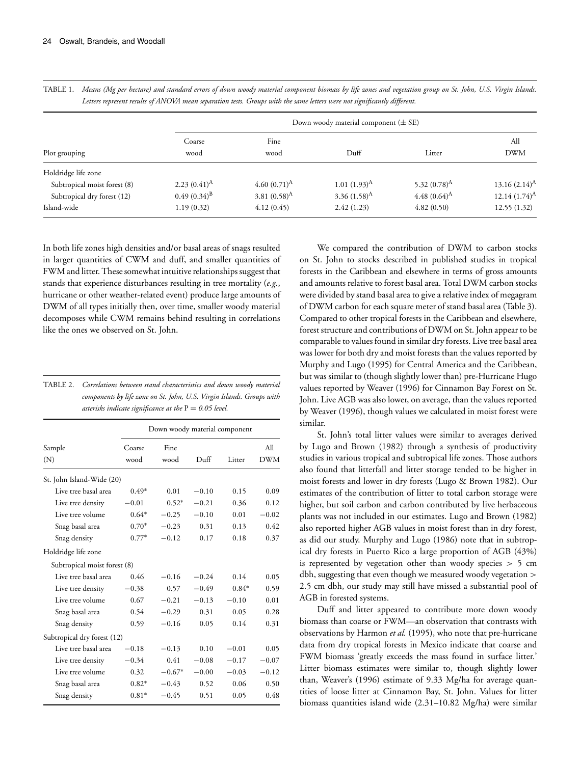|                              |                  | Down woody material component $(\pm S E)$ |                 |                 |                   |  |  |  |
|------------------------------|------------------|-------------------------------------------|-----------------|-----------------|-------------------|--|--|--|
| Plot grouping                | Coarse<br>wood   | Fine<br>wood                              | Duff            | Litter          | All<br><b>DWM</b> |  |  |  |
| Holdridge life zone          |                  |                                           |                 |                 |                   |  |  |  |
| Subtropical moist forest (8) | 2.23 $(0.41)^A$  | 4.60 $(0.71)^A$                           | 1.01 $(1.93)^A$ | 5.32 $(0.78)^A$ | $13.16(2.14)^A$   |  |  |  |
| Subtropical dry forest (12)  | $0.49(0.34)^{B}$ | 3.81 $(0.58)^{\text{A}}$                  | 3.36 $(1.58)^A$ | 4.48 $(0.64)^A$ | $12.14 (1.74)^A$  |  |  |  |
| Island-wide                  | 1.19(0.32)       | 4.12(0.45)                                | 2.42(1.23)      | 4.82(0.50)      | 12.55(1.32)       |  |  |  |

TABLE 1. *Means (Mg per hectare) and standard errors of down woody material component biomass by life zones and vegetation group on St. John, U.S. Virgin Islands. Letters represent results of ANOVA mean separation tests. Groups with the same letters were not significantly different.*

In both life zones high densities and/or basal areas of snags resulted in larger quantities of CWM and duff, and smaller quantities of FWM and litter. These somewhat intuitive relationships suggest that stands that experience disturbances resulting in tree mortality (*e.g.*, hurricane or other weather-related event) produce large amounts of DWM of all types initially then, over time, smaller woody material decomposes while CWM remains behind resulting in correlations like the ones we observed on St. John.

| TABLE 2. Correlations between stand characteristics and down woody material |
|-----------------------------------------------------------------------------|
| components by life zone on St. John, U.S. Virgin Islands. Groups with       |
| asterisks indicate significance at the $P = 0.05$ level.                    |

| Down woody material component |              |                   |         |                   |  |
|-------------------------------|--------------|-------------------|---------|-------------------|--|
| Coarse<br>wood                | Fine<br>wood | D <sub>u</sub> ff | Litter  | All<br><b>DWM</b> |  |
| St. John Island-Wide (20)     |              |                   |         |                   |  |
| $0.49*$                       | 0.01         | $-0.10$           | 0.15    | 0.09              |  |
| $-0.01$                       | $0.52*$      | $-0.21$           | 0.36    | 0.12              |  |
| $0.64*$                       | $-0.25$      | $-0.10$           | 0.01    | $-0.02$           |  |
| $0.70*$                       | $-0.23$      | 0.31              | 0.13    | 0.42              |  |
| $0.77*$                       | $-0.12$      | 0.17              | 0.18    | 0.37              |  |
|                               |              |                   |         |                   |  |
| Subtropical moist forest (8)  |              |                   |         |                   |  |
| 0.46                          | $-0.16$      | $-0.24$           | 0.14    | 0.05              |  |
| $-0.38$                       | 0.57         | $-0.49$           | $0.84*$ | 0.59              |  |
| 0.67                          | $-0.21$      | $-0.13$           | $-0.10$ | 0.01              |  |
| 0.54                          | $-0.29$      | 0.31              | 0.05    | 0.28              |  |
| 0.59                          | $-0.16$      | 0.05              | 0.14    | 0.31              |  |
| Subtropical dry forest (12)   |              |                   |         |                   |  |
| $-0.18$                       | $-0.13$      | 0.10              | $-0.01$ | 0.05              |  |
| $-0.34$                       | 0.41         | $-0.08$           | $-0.17$ | $-0.07$           |  |
| 0.32                          | $-0.67*$     | $-0.00$           | $-0.03$ | $-0.12$           |  |
| $0.82*$                       | $-0.43$      | 0.52              | 0.06    | 0.50              |  |
| $0.81*$                       | $-0.45$      | 0.51              | 0.05    | 0.48              |  |
|                               |              |                   |         |                   |  |

We compared the contribution of DWM to carbon stocks on St. John to stocks described in published studies in tropical forests in the Caribbean and elsewhere in terms of gross amounts and amounts relative to forest basal area. Total DWM carbon stocks were divided by stand basal area to give a relative index of megagram of DWM carbon for each square meter of stand basal area (Table 3). Compared to other tropical forests in the Caribbean and elsewhere, forest structure and contributions of DWM on St. John appear to be comparable to values found in similar dry forests. Live tree basal area was lower for both dry and moist forests than the values reported by Murphy and Lugo (1995) for Central America and the Caribbean, but was similar to (though slightly lower than) pre-Hurricane Hugo values reported by Weaver (1996) for Cinnamon Bay Forest on St. John. Live AGB was also lower, on average, than the values reported by Weaver (1996), though values we calculated in moist forest were similar.

St. John's total litter values were similar to averages derived by Lugo and Brown (1982) through a synthesis of productivity studies in various tropical and subtropical life zones. Those authors also found that litterfall and litter storage tended to be higher in moist forests and lower in dry forests (Lugo & Brown 1982). Our estimates of the contribution of litter to total carbon storage were higher, but soil carbon and carbon contributed by live herbaceous plants was not included in our estimates. Lugo and Brown (1982) also reported higher AGB values in moist forest than in dry forest, as did our study. Murphy and Lugo (1986) note that in subtropical dry forests in Puerto Rico a large proportion of AGB (43%) is represented by vegetation other than woody species  $> 5$  cm dbh, suggesting that even though we measured woody vegetation > 2.5 cm dbh, our study may still have missed a substantial pool of AGB in forested systems.

Duff and litter appeared to contribute more down woody biomass than coarse or FWM—an observation that contrasts with observations by Harmon *et al.* (1995), who note that pre-hurricane data from dry tropical forests in Mexico indicate that coarse and FWM biomass 'greatly exceeds the mass found in surface litter.' Litter biomass estimates were similar to, though slightly lower than, Weaver's (1996) estimate of 9.33 Mg/ha for average quantities of loose litter at Cinnamon Bay, St. John. Values for litter biomass quantities island wide (2.31–10.82 Mg/ha) were similar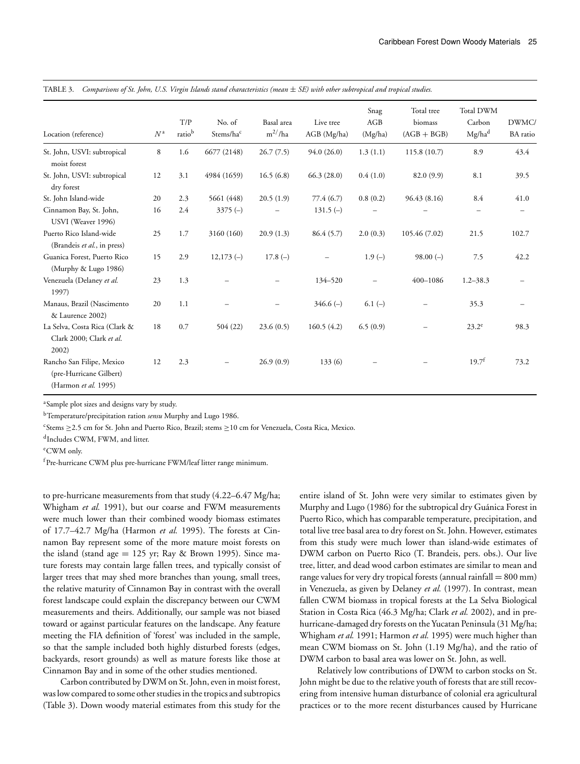| Location (reference)                                                         | $N^{\rm a}$ | T/P<br>ratiob | No. of<br>Stems/ha <sup>c</sup> | Basal area<br>$m^2/ha$ | Live tree<br>AGB (Mg/ha) | Snag<br>AGB<br>(Mg/ha) | Total tree<br>biomass<br>$(AGB + BGB)$ | Total DWM<br>Carbon<br>Mg/ha <sup>d</sup> | DWMC/<br>BA ratio |  |
|------------------------------------------------------------------------------|-------------|---------------|---------------------------------|------------------------|--------------------------|------------------------|----------------------------------------|-------------------------------------------|-------------------|--|
| St. John, USVI: subtropical<br>moist forest                                  | 8           | 1.6           | 6677 (2148)                     | 26.7(7.5)              | 94.0 (26.0)              | 1.3(1.1)               | 115.8 (10.7)                           | 8.9                                       | 43.4              |  |
| St. John, USVI: subtropical<br>dry forest                                    | 12          | 3.1           | 4984 (1659)                     | 16.5(6.8)              | 66.3(28.0)               | 0.4(1.0)               | 82.0 (9.9)                             | 8.1                                       | 39.5              |  |
| St. John Island-wide                                                         | 20          | 2.3           | 5661 (448)                      | 20.5(1.9)              | 77.4 (6.7)               | 0.8(0.2)               | 96.43 (8.16)                           | 8.4                                       | 41.0              |  |
| Cinnamon Bay, St. John,<br>USVI (Weaver 1996)                                | 16          | 2.4           | $3375(-)$                       |                        | $131.5(-)$               |                        |                                        |                                           |                   |  |
| Puerto Rico Island-wide<br>(Brandeis et al., in press)                       | 25          | 1.7           | 3160 (160)                      | 20.9(1.3)              | 86.4 (5.7)               | 2.0(0.3)               | 105.46 (7.02)                          | 21.5                                      | 102.7             |  |
| Guanica Forest, Puerto Rico<br>(Murphy & Lugo 1986)                          | 15          | 2.9           | $12,173$ (-)                    | $17.8(-)$              |                          | $1.9(-)$               | $98.00(-)$                             | 7.5                                       | 42.2              |  |
| Venezuela (Delaney et al.<br>1997)                                           | 23          | 1.3           |                                 |                        | 134-520                  | -                      | 400-1086                               | $1.2 - 38.3$                              |                   |  |
| Manaus, Brazil (Nascimento<br>& Laurence 2002)                               | 20          | 1.1           |                                 |                        | $346.6(-)$               | $6.1(-)$               |                                        | 35.3                                      |                   |  |
| La Selva, Costa Rica (Clark &<br>Clark 2000; Clark et al.<br>2002)           | 18          | 0.7           | 504 (22)                        | 23.6(0.5)              | 160.5(4.2)               | 6.5(0.9)               |                                        | $23.2^e$                                  | 98.3              |  |
| Rancho San Filipe, Mexico<br>(pre-Hurricane Gilbert)<br>(Harmon et al. 1995) | 12          | 2.3           |                                 | 26.9(0.9)              | 133(6)                   |                        |                                        | $19.7^{f}$                                | 73.2              |  |

TABLE 3. *Comparisons of St. John, U.S. Virgin Islands stand characteristics (mean* ± *SE) with other subtropical and tropical studies.*

<sup>a</sup>Sample plot sizes and designs vary by study.

bTemperature/precipitation ration *sensu* Murphy and Lugo 1986.

c Stems ≥2.5 cm for St. John and Puerto Rico, Brazil; stems ≥10 cm for Venezuela, Costa Rica, Mexico.

<sup>d</sup>Includes CWM, FWM, and litter.

e CWM only.

<sup>f</sup> Pre-hurricane CWM plus pre-hurricane FWM/leaf litter range minimum.

to pre-hurricane measurements from that study (4.22–6.47 Mg/ha; Whigham *et al.* 1991), but our coarse and FWM measurements were much lower than their combined woody biomass estimates of 17.7–42.7 Mg/ha (Harmon *et al.* 1995). The forests at Cinnamon Bay represent some of the more mature moist forests on the island (stand age =  $125$  yr; Ray & Brown 1995). Since mature forests may contain large fallen trees, and typically consist of larger trees that may shed more branches than young, small trees, the relative maturity of Cinnamon Bay in contrast with the overall forest landscape could explain the discrepancy between our CWM measurements and theirs. Additionally, our sample was not biased toward or against particular features on the landscape. Any feature meeting the FIA definition of 'forest' was included in the sample, so that the sample included both highly disturbed forests (edges, backyards, resort grounds) as well as mature forests like those at Cinnamon Bay and in some of the other studies mentioned.

Carbon contributed by DWM on St. John, even in moist forest, was low compared to some other studies in the tropics and subtropics (Table 3). Down woody material estimates from this study for the entire island of St. John were very similar to estimates given by Murphy and Lugo (1986) for the subtropical dry Guánica Forest in Puerto Rico, which has comparable temperature, precipitation, and total live tree basal area to dry forest on St. John. However, estimates from this study were much lower than island-wide estimates of DWM carbon on Puerto Rico (T. Brandeis, pers. obs.). Our live tree, litter, and dead wood carbon estimates are similar to mean and range values for very dry tropical forests (annual rainfall  $= 800$  mm) in Venezuela, as given by Delaney *et al.* (1997). In contrast, mean fallen CWM biomass in tropical forests at the La Selva Biological Station in Costa Rica (46.3 Mg/ha; Clark *et al.* 2002), and in prehurricane-damaged dry forests on the Yucatan Peninsula (31 Mg/ha; Whigham *et al.* 1991; Harmon *et al.* 1995) were much higher than mean CWM biomass on St. John (1.19 Mg/ha), and the ratio of DWM carbon to basal area was lower on St. John, as well.

Relatively low contributions of DWM to carbon stocks on St. John might be due to the relative youth of forests that are still recovering from intensive human disturbance of colonial era agricultural practices or to the more recent disturbances caused by Hurricane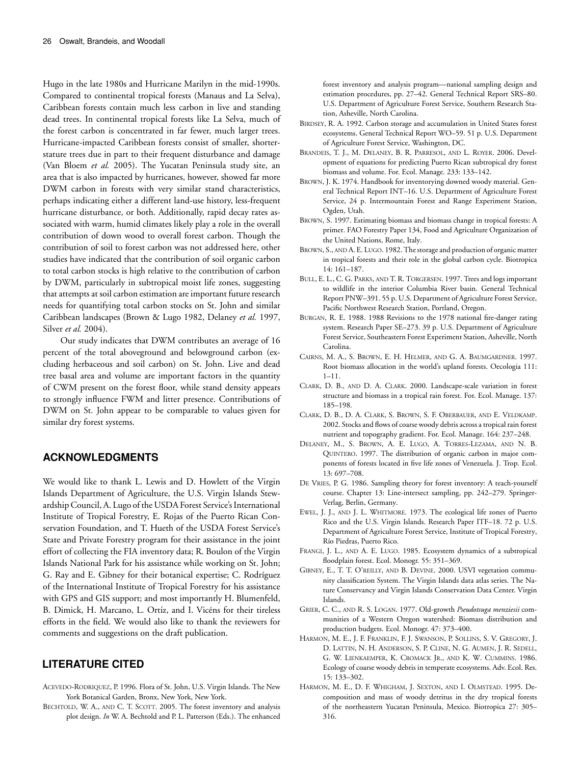Hugo in the late 1980s and Hurricane Marilyn in the mid-1990s. Compared to continental tropical forests (Manaus and La Selva), Caribbean forests contain much less carbon in live and standing dead trees. In continental tropical forests like La Selva, much of the forest carbon is concentrated in far fewer, much larger trees. Hurricane-impacted Caribbean forests consist of smaller, shorterstature trees due in part to their frequent disturbance and damage (Van Bloem *et al.* 2005). The Yucatan Peninsula study site, an area that is also impacted by hurricanes, however, showed far more DWM carbon in forests with very similar stand characteristics, perhaps indicating either a different land-use history, less-frequent hurricane disturbance, or both. Additionally, rapid decay rates associated with warm, humid climates likely play a role in the overall contribution of down wood to overall forest carbon. Though the contribution of soil to forest carbon was not addressed here, other studies have indicated that the contribution of soil organic carbon to total carbon stocks is high relative to the contribution of carbon by DWM, particularly in subtropical moist life zones, suggesting that attempts at soil carbon estimation are important future research needs for quantifying total carbon stocks on St. John and similar Caribbean landscapes (Brown & Lugo 1982, Delaney *et al.* 1997, Silver *et al.* 2004).

Our study indicates that DWM contributes an average of 16 percent of the total aboveground and belowground carbon (excluding herbaceous and soil carbon) on St. John. Live and dead tree basal area and volume are important factors in the quantity of CWM present on the forest floor, while stand density appears to strongly influence FWM and litter presence. Contributions of DWM on St. John appear to be comparable to values given for similar dry forest systems.

### **ACKNOWLEDGMENTS**

We would like to thank L. Lewis and D. Howlett of the Virgin Islands Department of Agriculture, the U.S. Virgin Islands Stewardship Council, A. Lugo of the USDA Forest Service's International Institute of Tropical Forestry, E. Rojas of the Puerto Rican Conservation Foundation, and T. Hueth of the USDA Forest Service's State and Private Forestry program for their assistance in the joint effort of collecting the FIA inventory data; R. Boulon of the Virgin Islands National Park for his assistance while working on St. John; G. Ray and E. Gibney for their botanical expertise; C. Rodríguez of the International Institute of Tropical Forestry for his assistance with GPS and GIS support; and most importantly H. Blumenfeld, B. Dimick, H. Marcano, L. Ortíz, and I. Vicéns for their tireless efforts in the field. We would also like to thank the reviewers for comments and suggestions on the draft publication.

## **LITERATURE CITED**

- ACEVEDO-RODRIQUEZ, P. 1996. Flora of St. John, U.S. Virgin Islands. The New York Botanical Garden, Bronx, New York, New York.
- BECHTOLD, W. A., AND C. T. SCOTT. 2005. The forest inventory and analysis plot design. *In* W. A. Bechtold and P. L. Patterson (Eds.). The enhanced

forest inventory and analysis program—national sampling design and estimation procedures, pp. 27–42. General Technical Report SRS–80. U.S. Department of Agriculture Forest Service, Southern Research Station, Asheville, North Carolina.

- BIRDSEY, R. A. 1992. Carbon storage and accumulation in United States forest ecosystems. General Technical Report WO–59. 51 p. U.S. Department of Agriculture Forest Service, Washington, DC.
- BRANDEIS, T. J., M. DELANEY, B. R. PARRESOL, AND L. ROYER. 2006. Development of equations for predicting Puerto Rican subtropical dry forest biomass and volume. For. Ecol. Manage. 233: 133–142.
- BROWN, J. K. 1974. Handbook for inventorying downed woody material. General Technical Report INT–16. U.S. Department of Agriculture Forest Service, 24 p. Intermountain Forest and Range Experiment Station, Ogden, Utah.
- BROWN, S. 1997. Estimating biomass and biomass change in tropical forests: A primer. FAO Forestry Paper 134, Food and Agriculture Organization of the United Nations, Rome, Italy.
- BROWN, S., AND A. E. LUGO. 1982. The storage and production of organic matter in tropical forests and their role in the global carbon cycle. Biotropica 14: 161–187.
- BULL, E. L., C. G. PARKS, AND T. R. TORGERSEN. 1997. Trees and logs important to wildlife in the interior Columbia River basin. General Technical Report PNW–391. 55 p. U.S. Department of Agriculture Forest Service, Pacific Northwest Research Station, Portland, Oregon.
- BURGAN, R. E. 1988. 1988 Revisions to the 1978 national fire-danger rating system. Research Paper SE–273. 39 p. U.S. Department of Agriculture Forest Service, Southeastern Forest Experiment Station, Asheville, North Carolina.
- CAIRNS, M. A., S. BROWN, E. H. HELMER, AND G. A. BAUMGARDNER. 1997. Root biomass allocation in the world's upland forests. Oecologia 111: 1–11.
- CLARK, D. B., AND D. A. CLARK. 2000. Landscape-scale variation in forest structure and biomass in a tropical rain forest. For. Ecol. Manage. 137: 185–198.
- CLARK, D. B., D. A. CLARK, S. BROWN, S. F. OBERBAUER, AND E. VELDKAMP. 2002. Stocks and flows of coarse woody debris across a tropical rain forest nutrient and topography gradient. For. Ecol. Manage. 164: 237–248.
- DELANEY, M., S. BROWN, A. E. LUGO, A. TORRES-LEZAMA, AND N. B. QUINTERO. 1997. The distribution of organic carbon in major components of forests located in five life zones of Venezuela. J. Trop. Ecol. 13: 697–708.
- DE VRIES, P. G. 1986. Sampling theory for forest inventory: A teach-yourself course. Chapter 13: Line-intersect sampling, pp. 242–279. Springer-Verlag, Berlin, Germany.
- EWEL, J. J., AND J. L. WHITMORE. 1973. The ecological life zones of Puerto Rico and the U.S. Virgin Islands. Research Paper ITF–18. 72 p. U.S. Department of Agriculture Forest Service, Institute of Tropical Forestry, Río Piedras, Puerto Rico.
- FRANGI, J. L., AND A. E. LUGO. 1985. Ecosystem dynamics of a subtropical floodplain forest. Ecol. Monogr. 55: 351–369.
- GIBNEY, E., T. T. O'REILLY, AND B. DEVINE. 2000. USVI vegetation community classification System. The Virgin Islands data atlas series. The Nature Conservancy and Virgin Islands Conservation Data Center. Virgin Islands.
- GRIER, C. C., AND R. S. LOGAN. 1977. Old-growth *Pseudotsuga menziesii* communities of a Western Oregon watershed: Biomass distribution and production budgets. Ecol. Monogr. 47: 373–400.
- HARMON, M. E., J. F. FRANKLIN, F. J. SWANSON, P. SOLLINS, S. V. GREGORY, J. D. LATTIN, N. H. ANDERSON, S. P. CLINE, N. G. AUMEN, J. R. SEDELL, G. W. LIENKAEMPER, K. CROMACK JR., AND K. W. CUMMINS. 1986. Ecology of coarse woody debris in temperate ecosystems. Adv. Ecol. Res. 15: 133–302.
- HARMON, M. E., D. F. WHIGHAM, J. SEXTON, AND I. OLMSTEAD. 1995. Decomposition and mass of woody detritus in the dry tropical forests of the northeastern Yucatan Peninsula, Mexico. Biotropica 27: 305– 316.